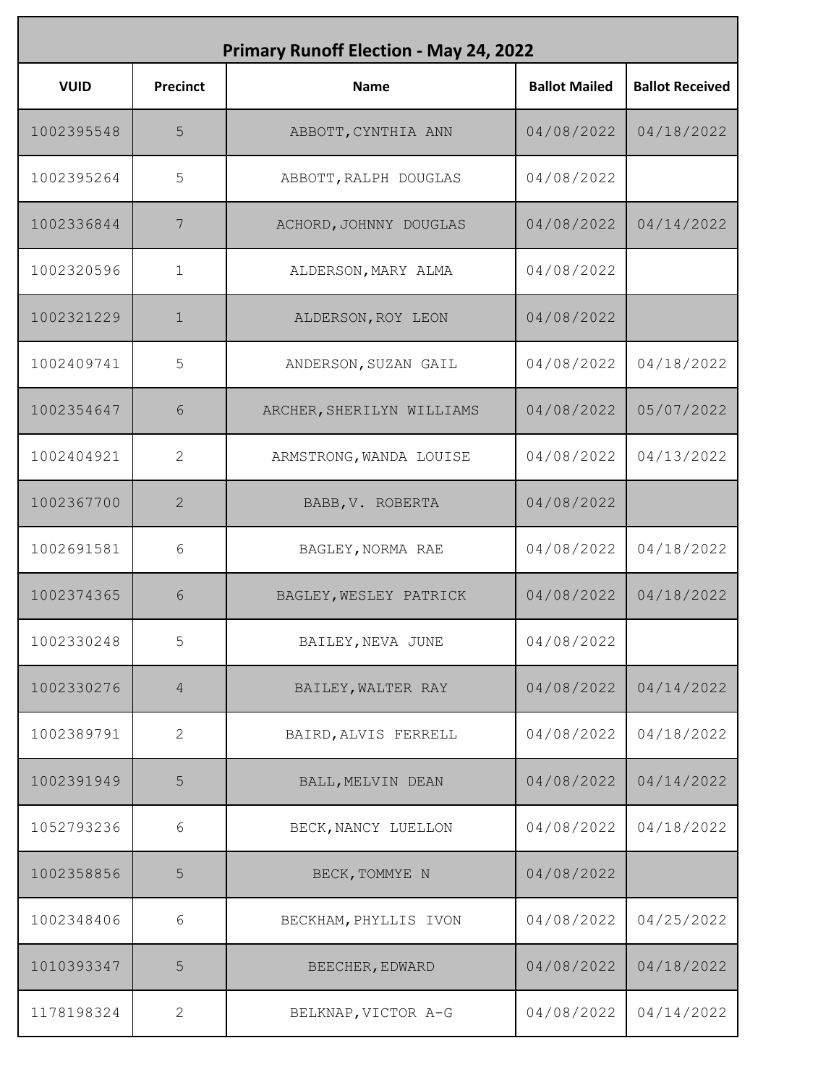| <b>Primary Runoff Election - May 24, 2022</b> |                 |                           |                      |                        |
|-----------------------------------------------|-----------------|---------------------------|----------------------|------------------------|
| <b>VUID</b>                                   | <b>Precinct</b> | <b>Name</b>               | <b>Ballot Mailed</b> | <b>Ballot Received</b> |
| 1002395548                                    | 5               | ABBOTT, CYNTHIA ANN       | 04/08/2022           | 04/18/2022             |
| 1002395264                                    | 5               | ABBOTT, RALPH DOUGLAS     | 04/08/2022           |                        |
| 1002336844                                    | 7               | ACHORD, JOHNNY DOUGLAS    | 04/08/2022           | 04/14/2022             |
| 1002320596                                    | $\mathbf 1$     | ALDERSON, MARY ALMA       | 04/08/2022           |                        |
| 1002321229                                    | $\mathbf{1}$    | ALDERSON, ROY LEON        | 04/08/2022           |                        |
| 1002409741                                    | 5               | ANDERSON, SUZAN GAIL      | 04/08/2022           | 04/18/2022             |
| 1002354647                                    | 6               | ARCHER, SHERILYN WILLIAMS | 04/08/2022           | 05/07/2022             |
| 1002404921                                    | 2               | ARMSTRONG, WANDA LOUISE   | 04/08/2022           | 04/13/2022             |
| 1002367700                                    | 2               | BABB, V. ROBERTA          | 04/08/2022           |                        |
| 1002691581                                    | 6               | BAGLEY, NORMA RAE         | 04/08/2022           | 04/18/2022             |
| 1002374365                                    | 6               | BAGLEY, WESLEY PATRICK    | 04/08/2022           | 04/18/2022             |
| 1002330248                                    | 5               | BAILEY, NEVA JUNE         | 04/08/2022           |                        |
| 1002330276                                    | 4               | BAILEY, WALTER RAY        | 04/08/2022           | 04/14/2022             |
| 1002389791                                    | 2               | BAIRD, ALVIS FERRELL      | 04/08/2022           | 04/18/2022             |
| 1002391949                                    | 5               | BALL, MELVIN DEAN         | 04/08/2022           | 04/14/2022             |
| 1052793236                                    | 6               | BECK, NANCY LUELLON       | 04/08/2022           | 04/18/2022             |
| 1002358856                                    | 5               | BECK, TOMMYE N            | 04/08/2022           |                        |
| 1002348406                                    | 6               | BECKHAM, PHYLLIS IVON     | 04/08/2022           | 04/25/2022             |
| 1010393347                                    | 5               | BEECHER, EDWARD           | 04/08/2022           | 04/18/2022             |
| 1178198324                                    | 2               | BELKNAP, VICTOR A-G       | 04/08/2022           | 04/14/2022             |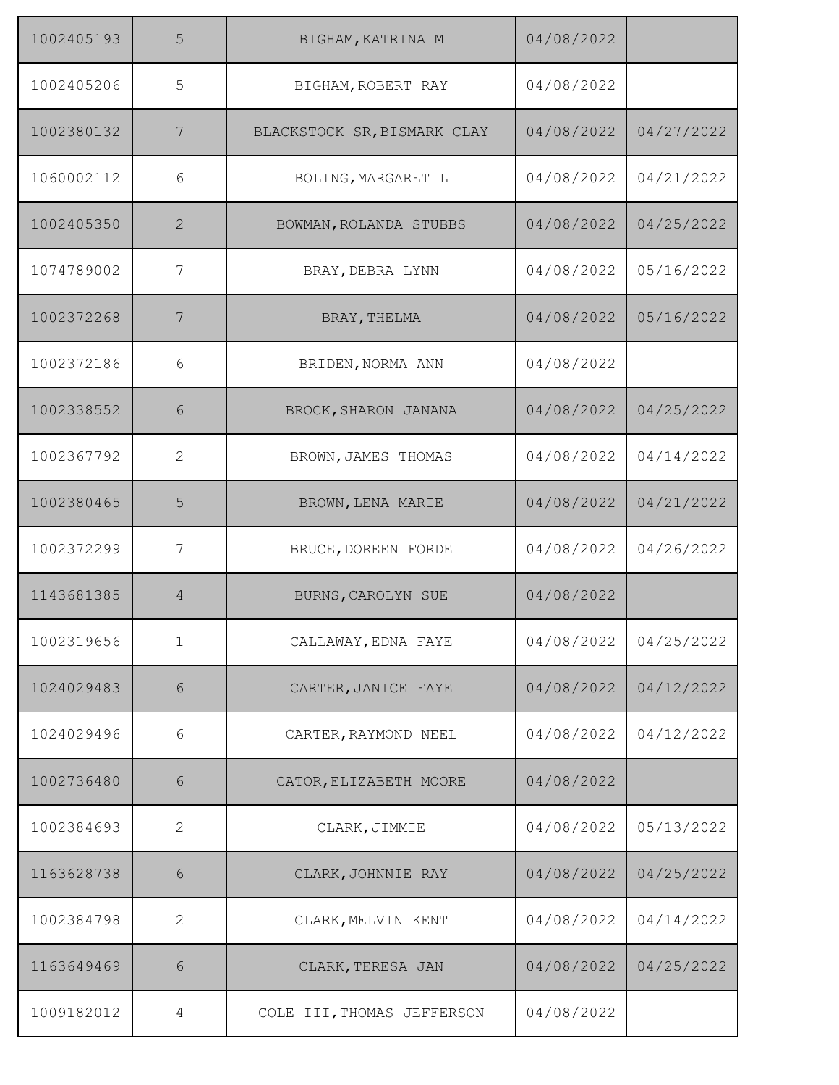| 1002405193 | 5            | BIGHAM, KATRINA M           | 04/08/2022 |            |
|------------|--------------|-----------------------------|------------|------------|
| 1002405206 | 5            | BIGHAM, ROBERT RAY          | 04/08/2022 |            |
| 1002380132 | 7            | BLACKSTOCK SR, BISMARK CLAY | 04/08/2022 | 04/27/2022 |
| 1060002112 | 6            | BOLING, MARGARET L          | 04/08/2022 | 04/21/2022 |
| 1002405350 | 2            | BOWMAN, ROLANDA STUBBS      | 04/08/2022 | 04/25/2022 |
| 1074789002 | 7            | BRAY, DEBRA LYNN            | 04/08/2022 | 05/16/2022 |
| 1002372268 | 7            | BRAY, THELMA                | 04/08/2022 | 05/16/2022 |
| 1002372186 | 6            | BRIDEN, NORMA ANN           | 04/08/2022 |            |
| 1002338552 | 6            | BROCK, SHARON JANANA        | 04/08/2022 | 04/25/2022 |
| 1002367792 | 2            | BROWN, JAMES THOMAS         | 04/08/2022 | 04/14/2022 |
| 1002380465 | 5            | BROWN, LENA MARIE           | 04/08/2022 | 04/21/2022 |
| 1002372299 | 7            | BRUCE, DOREEN FORDE         | 04/08/2022 | 04/26/2022 |
| 1143681385 | 4            | BURNS, CAROLYN SUE          | 04/08/2022 |            |
| 1002319656 | $\mathbf 1$  | CALLAWAY, EDNA FAYE         | 04/08/2022 | 04/25/2022 |
| 1024029483 | 6            | CARTER, JANICE FAYE         | 04/08/2022 | 04/12/2022 |
| 1024029496 | 6            | CARTER, RAYMOND NEEL        | 04/08/2022 | 04/12/2022 |
| 1002736480 | 6            | CATOR, ELIZABETH MOORE      | 04/08/2022 |            |
| 1002384693 | $\mathbf{2}$ | CLARK, JIMMIE               | 04/08/2022 | 05/13/2022 |
| 1163628738 | 6            | CLARK, JOHNNIE RAY          | 04/08/2022 | 04/25/2022 |
| 1002384798 | $\mathbf{2}$ | CLARK, MELVIN KENT          | 04/08/2022 | 04/14/2022 |
| 1163649469 | 6            | CLARK, TERESA JAN           | 04/08/2022 | 04/25/2022 |
| 1009182012 | 4            | COLE III, THOMAS JEFFERSON  | 04/08/2022 |            |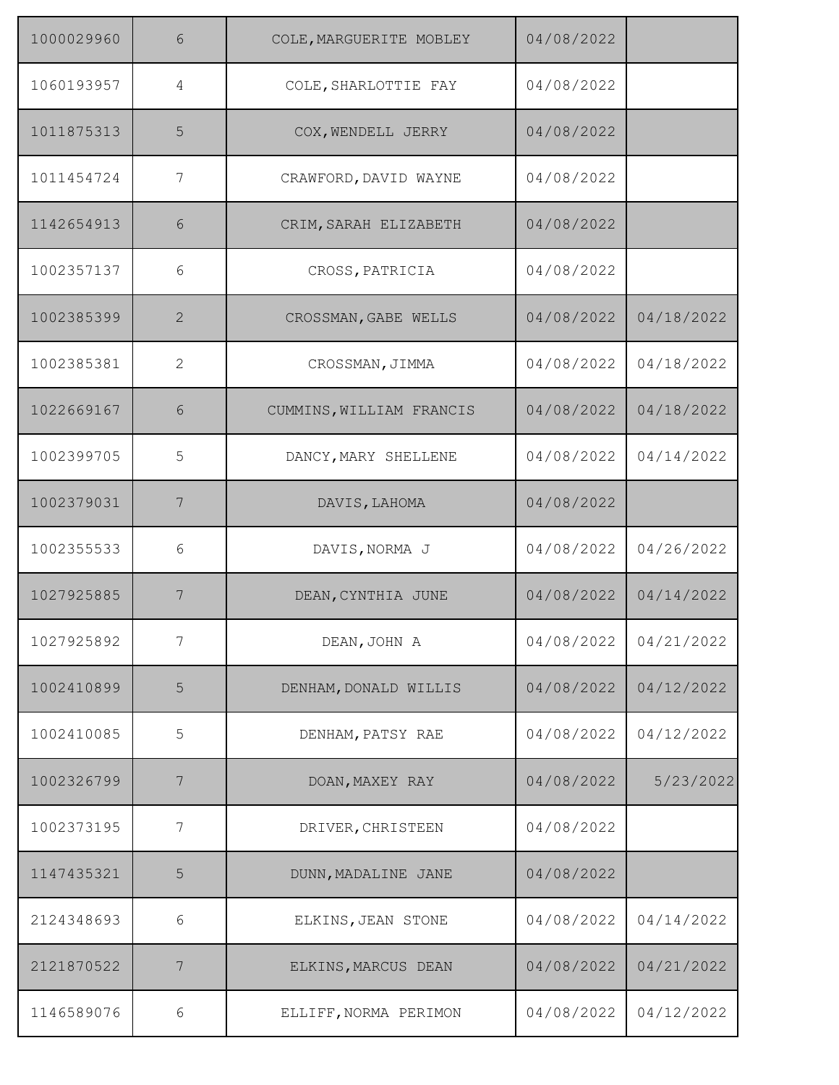| 1000029960 | 6            | COLE, MARGUERITE MOBLEY  | 04/08/2022 |            |
|------------|--------------|--------------------------|------------|------------|
| 1060193957 | 4            | COLE, SHARLOTTIE FAY     | 04/08/2022 |            |
| 1011875313 | 5            | COX, WENDELL JERRY       | 04/08/2022 |            |
| 1011454724 | 7            | CRAWFORD, DAVID WAYNE    | 04/08/2022 |            |
| 1142654913 | 6            | CRIM, SARAH ELIZABETH    | 04/08/2022 |            |
| 1002357137 | 6            | CROSS, PATRICIA          | 04/08/2022 |            |
| 1002385399 | 2            | CROSSMAN, GABE WELLS     | 04/08/2022 | 04/18/2022 |
| 1002385381 | $\mathbf{2}$ | CROSSMAN, JIMMA          | 04/08/2022 | 04/18/2022 |
| 1022669167 | 6            | CUMMINS, WILLIAM FRANCIS | 04/08/2022 | 04/18/2022 |
| 1002399705 | 5            | DANCY, MARY SHELLENE     | 04/08/2022 | 04/14/2022 |
| 1002379031 | 7            | DAVIS, LAHOMA            | 04/08/2022 |            |
| 1002355533 | 6            | DAVIS, NORMA J           | 04/08/2022 | 04/26/2022 |
| 1027925885 | 7            | DEAN, CYNTHIA JUNE       | 04/08/2022 | 04/14/2022 |
| 1027925892 | 7            | DEAN, JOHN A             | 04/08/2022 | 04/21/2022 |
| 1002410899 | 5            | DENHAM, DONALD WILLIS    | 04/08/2022 | 04/12/2022 |
| 1002410085 | 5            | DENHAM, PATSY RAE        | 04/08/2022 | 04/12/2022 |
| 1002326799 | 7            | DOAN, MAXEY RAY          | 04/08/2022 | 5/23/2022  |
| 1002373195 | 7            | DRIVER, CHRISTEEN        | 04/08/2022 |            |
| 1147435321 | 5            | DUNN, MADALINE JANE      | 04/08/2022 |            |
| 2124348693 | 6            | ELKINS, JEAN STONE       | 04/08/2022 | 04/14/2022 |
| 2121870522 | 7            | ELKINS, MARCUS DEAN      | 04/08/2022 | 04/21/2022 |
| 1146589076 | 6            | ELLIFF, NORMA PERIMON    | 04/08/2022 | 04/12/2022 |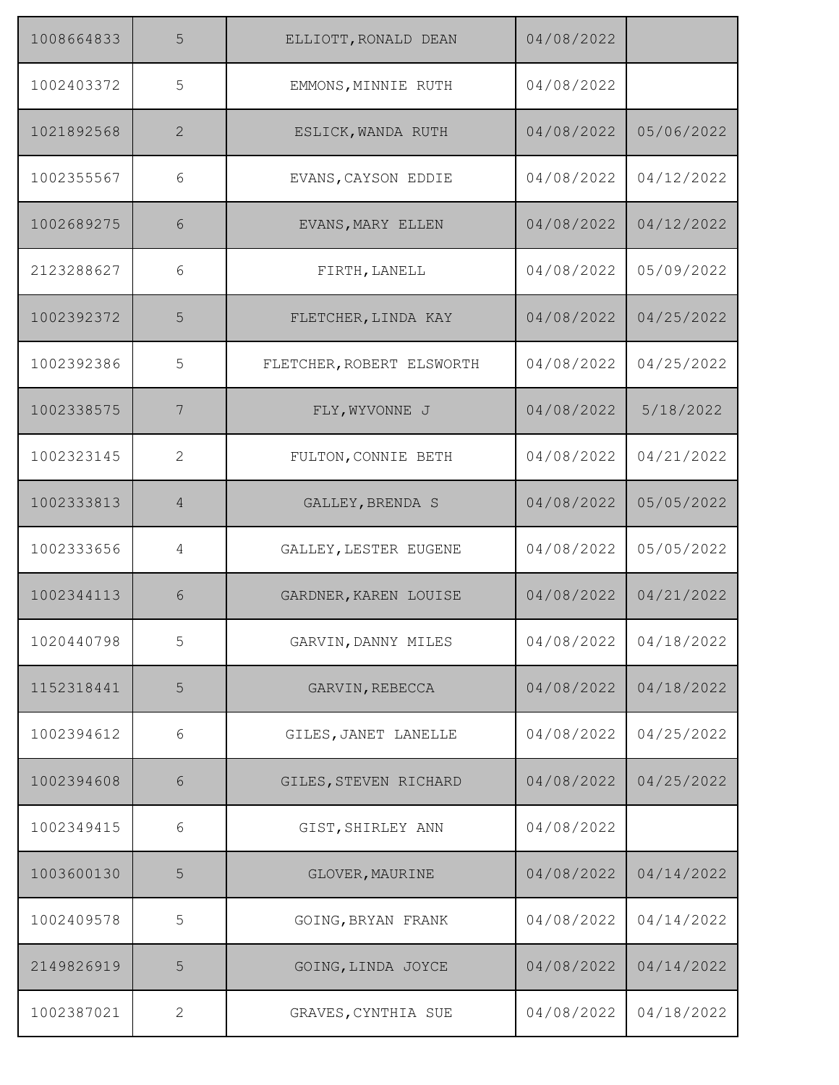| 1008664833 | 5            | ELLIOTT, RONALD DEAN      | 04/08/2022 |            |
|------------|--------------|---------------------------|------------|------------|
| 1002403372 | 5            | EMMONS, MINNIE RUTH       | 04/08/2022 |            |
| 1021892568 | 2            | ESLICK, WANDA RUTH        | 04/08/2022 | 05/06/2022 |
| 1002355567 | 6            | EVANS, CAYSON EDDIE       | 04/08/2022 | 04/12/2022 |
| 1002689275 | 6            | EVANS, MARY ELLEN         | 04/08/2022 | 04/12/2022 |
| 2123288627 | 6            | FIRTH, LANELL             | 04/08/2022 | 05/09/2022 |
| 1002392372 | 5            | FLETCHER, LINDA KAY       | 04/08/2022 | 04/25/2022 |
| 1002392386 | 5            | FLETCHER, ROBERT ELSWORTH | 04/08/2022 | 04/25/2022 |
| 1002338575 | 7            | FLY, WYVONNE J            | 04/08/2022 | 5/18/2022  |
| 1002323145 | 2            | FULTON, CONNIE BETH       | 04/08/2022 | 04/21/2022 |
| 1002333813 | 4            | GALLEY, BRENDA S          | 04/08/2022 | 05/05/2022 |
| 1002333656 | 4            | GALLEY, LESTER EUGENE     | 04/08/2022 | 05/05/2022 |
| 1002344113 | 6            | GARDNER, KAREN LOUISE     | 04/08/2022 | 04/21/2022 |
| 1020440798 | 5            | GARVIN, DANNY MILES       | 04/08/2022 | 04/18/2022 |
| 1152318441 | 5            | GARVIN, REBECCA           | 04/08/2022 | 04/18/2022 |
| 1002394612 | 6            | GILES, JANET LANELLE      | 04/08/2022 | 04/25/2022 |
| 1002394608 | 6            | GILES, STEVEN RICHARD     | 04/08/2022 | 04/25/2022 |
| 1002349415 | 6            | GIST, SHIRLEY ANN         | 04/08/2022 |            |
| 1003600130 | 5            | GLOVER, MAURINE           | 04/08/2022 | 04/14/2022 |
| 1002409578 | 5            | GOING, BRYAN FRANK        | 04/08/2022 | 04/14/2022 |
| 2149826919 | 5            | GOING, LINDA JOYCE        | 04/08/2022 | 04/14/2022 |
| 1002387021 | $\mathbf{2}$ | GRAVES, CYNTHIA SUE       | 04/08/2022 | 04/18/2022 |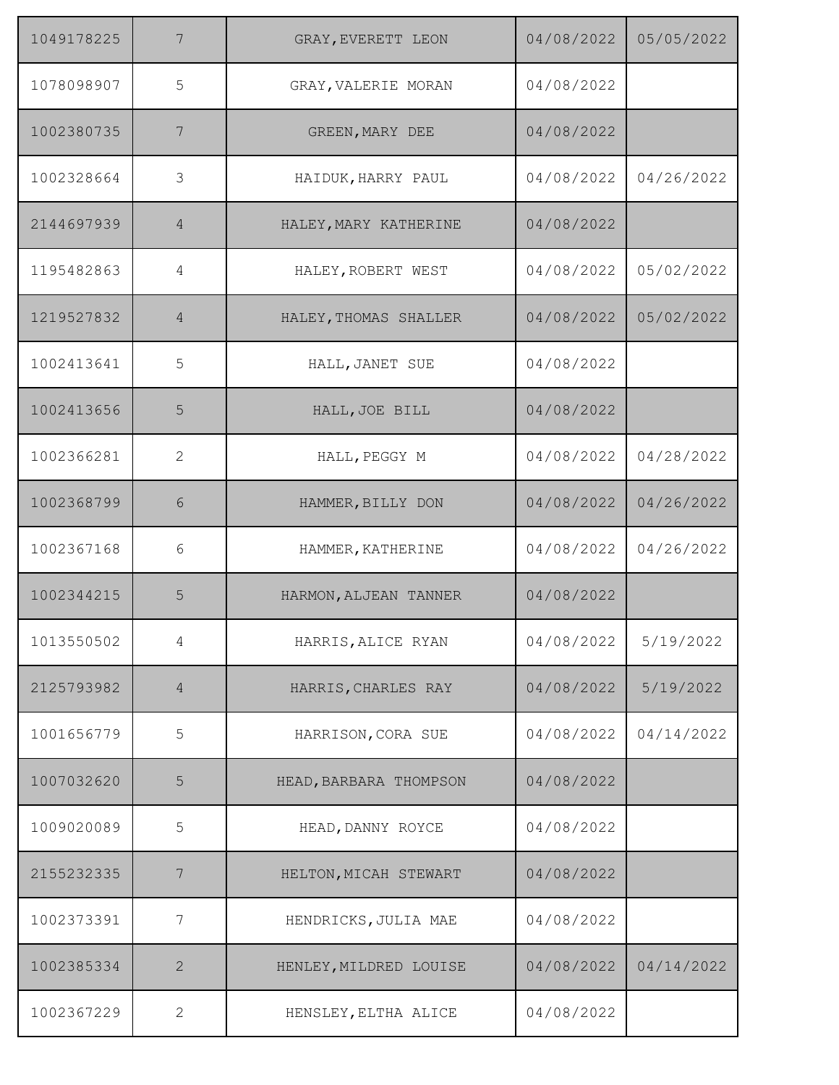| 1049178225 | 7               | GRAY, EVERETT LEON     | 04/08/2022 | 05/05/2022 |
|------------|-----------------|------------------------|------------|------------|
| 1078098907 | 5               | GRAY, VALERIE MORAN    | 04/08/2022 |            |
| 1002380735 | 7               | GREEN, MARY DEE        | 04/08/2022 |            |
| 1002328664 | 3               | HAIDUK, HARRY PAUL     | 04/08/2022 | 04/26/2022 |
| 2144697939 | $\overline{4}$  | HALEY, MARY KATHERINE  | 04/08/2022 |            |
| 1195482863 | 4               | HALEY, ROBERT WEST     | 04/08/2022 | 05/02/2022 |
| 1219527832 | 4               | HALEY, THOMAS SHALLER  | 04/08/2022 | 05/02/2022 |
| 1002413641 | 5               | HALL, JANET SUE        | 04/08/2022 |            |
| 1002413656 | 5               | HALL, JOE BILL         | 04/08/2022 |            |
| 1002366281 | $\mathbf{2}$    | HALL, PEGGY M          | 04/08/2022 | 04/28/2022 |
| 1002368799 | 6               | HAMMER, BILLY DON      | 04/08/2022 | 04/26/2022 |
| 1002367168 | 6               | HAMMER, KATHERINE      | 04/08/2022 | 04/26/2022 |
| 1002344215 | 5               | HARMON, ALJEAN TANNER  | 04/08/2022 |            |
| 1013550502 | 4               | HARRIS, ALICE RYAN     | 04/08/2022 | 5/19/2022  |
| 2125793982 | 4               | HARRIS, CHARLES RAY    | 04/08/2022 | 5/19/2022  |
| 1001656779 | 5               | HARRISON, CORA SUE     | 04/08/2022 | 04/14/2022 |
| 1007032620 | 5               | HEAD, BARBARA THOMPSON | 04/08/2022 |            |
| 1009020089 | 5               | HEAD, DANNY ROYCE      | 04/08/2022 |            |
| 2155232335 | $7\phantom{.0}$ | HELTON, MICAH STEWART  | 04/08/2022 |            |
| 1002373391 | 7               | HENDRICKS, JULIA MAE   | 04/08/2022 |            |
| 1002385334 | $\mathbf{2}$    | HENLEY, MILDRED LOUISE | 04/08/2022 | 04/14/2022 |
| 1002367229 | $\mathbf{2}$    | HENSLEY, ELTHA ALICE   | 04/08/2022 |            |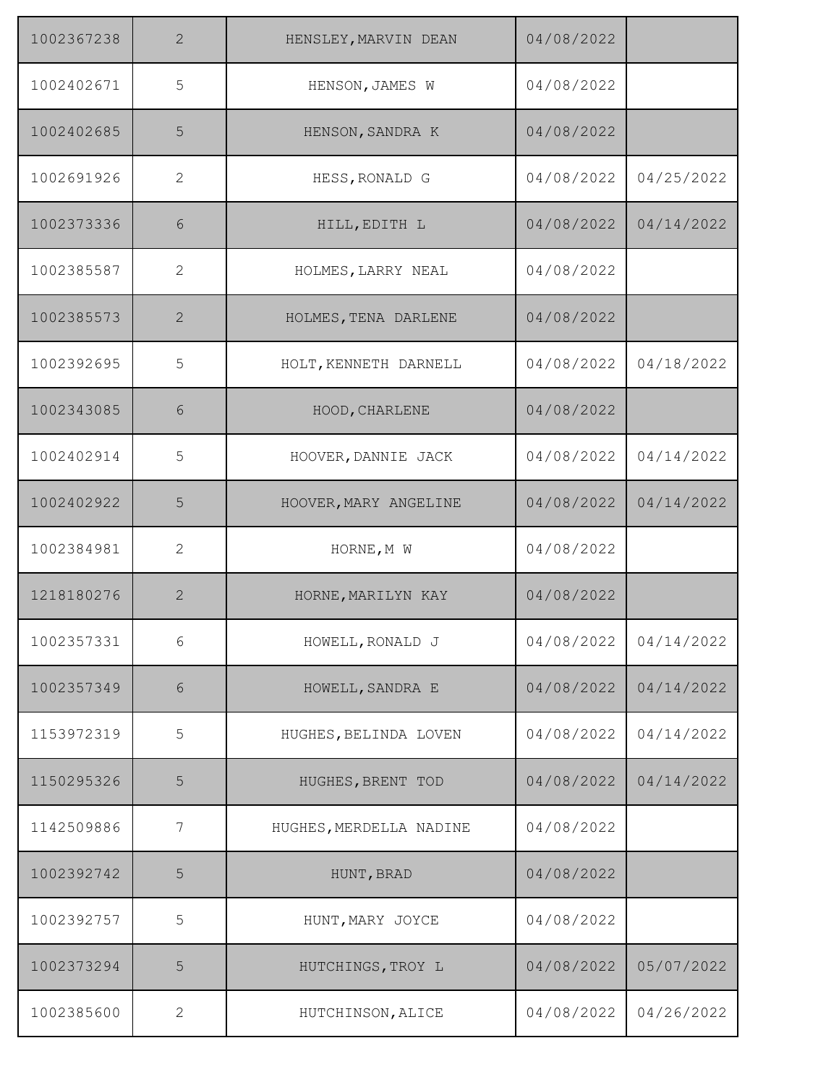| 1002367238 | 2            | HENSLEY, MARVIN DEAN    | 04/08/2022 |            |
|------------|--------------|-------------------------|------------|------------|
| 1002402671 | 5            | HENSON, JAMES W         | 04/08/2022 |            |
| 1002402685 | 5            | HENSON, SANDRA K        | 04/08/2022 |            |
| 1002691926 | 2            | HESS, RONALD G          | 04/08/2022 | 04/25/2022 |
| 1002373336 | 6            | HILL, EDITH L           | 04/08/2022 | 04/14/2022 |
| 1002385587 | $\mathbf{2}$ | HOLMES, LARRY NEAL      | 04/08/2022 |            |
| 1002385573 | 2            | HOLMES, TENA DARLENE    | 04/08/2022 |            |
| 1002392695 | 5            | HOLT, KENNETH DARNELL   | 04/08/2022 | 04/18/2022 |
| 1002343085 | 6            | HOOD, CHARLENE          | 04/08/2022 |            |
| 1002402914 | 5            | HOOVER, DANNIE JACK     | 04/08/2022 | 04/14/2022 |
| 1002402922 | 5            | HOOVER, MARY ANGELINE   | 04/08/2022 | 04/14/2022 |
| 1002384981 | 2            | HORNE, M W              | 04/08/2022 |            |
| 1218180276 | $\mathbf{2}$ | HORNE, MARILYN KAY      | 04/08/2022 |            |
| 1002357331 | 6            | HOWELL, RONALD J        | 04/08/2022 | 04/14/2022 |
| 1002357349 | 6            | HOWELL, SANDRA E        | 04/08/2022 | 04/14/2022 |
| 1153972319 | 5            | HUGHES, BELINDA LOVEN   | 04/08/2022 | 04/14/2022 |
| 1150295326 | 5            | HUGHES, BRENT TOD       | 04/08/2022 | 04/14/2022 |
| 1142509886 | 7            | HUGHES, MERDELLA NADINE | 04/08/2022 |            |
| 1002392742 | 5            | HUNT, BRAD              | 04/08/2022 |            |
| 1002392757 | 5            | HUNT, MARY JOYCE        | 04/08/2022 |            |
| 1002373294 | 5            | HUTCHINGS, TROY L       | 04/08/2022 | 05/07/2022 |
| 1002385600 | $\mathbf{2}$ | HUTCHINSON, ALICE       | 04/08/2022 | 04/26/2022 |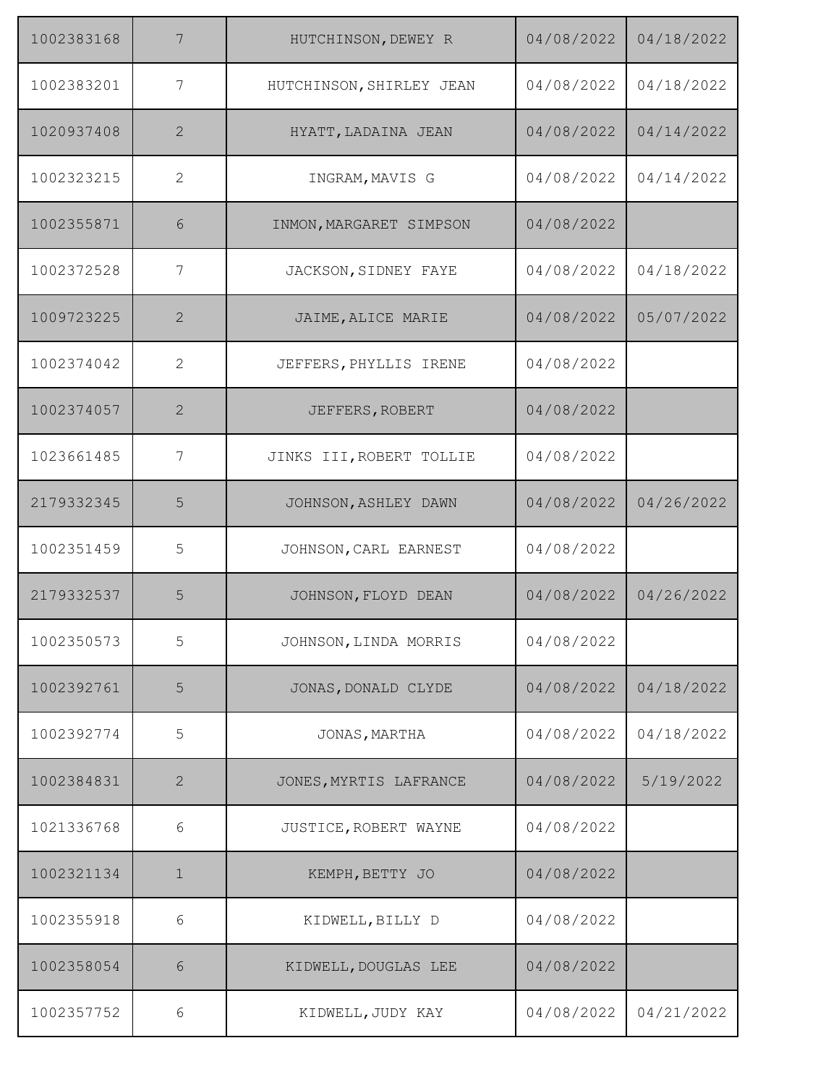| 1002383168 | 7              | HUTCHINSON, DEWEY R      | 04/08/2022 | 04/18/2022 |
|------------|----------------|--------------------------|------------|------------|
| 1002383201 | 7              | HUTCHINSON, SHIRLEY JEAN | 04/08/2022 | 04/18/2022 |
| 1020937408 | 2              | HYATT, LADAINA JEAN      | 04/08/2022 | 04/14/2022 |
| 1002323215 | $\overline{2}$ | INGRAM, MAVIS G          | 04/08/2022 | 04/14/2022 |
| 1002355871 | 6              | INMON, MARGARET SIMPSON  | 04/08/2022 |            |
| 1002372528 | 7              | JACKSON, SIDNEY FAYE     | 04/08/2022 | 04/18/2022 |
| 1009723225 | $\mathbf{2}$   | JAIME, ALICE MARIE       | 04/08/2022 | 05/07/2022 |
| 1002374042 | $\overline{2}$ | JEFFERS, PHYLLIS IRENE   | 04/08/2022 |            |
| 1002374057 | 2              | JEFFERS, ROBERT          | 04/08/2022 |            |
| 1023661485 | 7              | JINKS III, ROBERT TOLLIE | 04/08/2022 |            |
| 2179332345 | 5              | JOHNSON, ASHLEY DAWN     | 04/08/2022 | 04/26/2022 |
| 1002351459 | 5              | JOHNSON, CARL EARNEST    | 04/08/2022 |            |
| 2179332537 | 5              | JOHNSON, FLOYD DEAN      | 04/08/2022 | 04/26/2022 |
| 1002350573 | 5              | JOHNSON, LINDA MORRIS    | 04/08/2022 |            |
| 1002392761 | 5              | JONAS, DONALD CLYDE      | 04/08/2022 | 04/18/2022 |
| 1002392774 | 5              | JONAS, MARTHA            | 04/08/2022 | 04/18/2022 |
| 1002384831 | $\mathbf{2}$   | JONES, MYRTIS LAFRANCE   | 04/08/2022 | 5/19/2022  |
| 1021336768 | 6              | JUSTICE, ROBERT WAYNE    | 04/08/2022 |            |
| 1002321134 | $\mathbf 1$    | KEMPH, BETTY JO          | 04/08/2022 |            |
| 1002355918 | 6              | KIDWELL, BILLY D         | 04/08/2022 |            |
| 1002358054 | 6              | KIDWELL, DOUGLAS LEE     | 04/08/2022 |            |
| 1002357752 | 6              | KIDWELL, JUDY KAY        | 04/08/2022 | 04/21/2022 |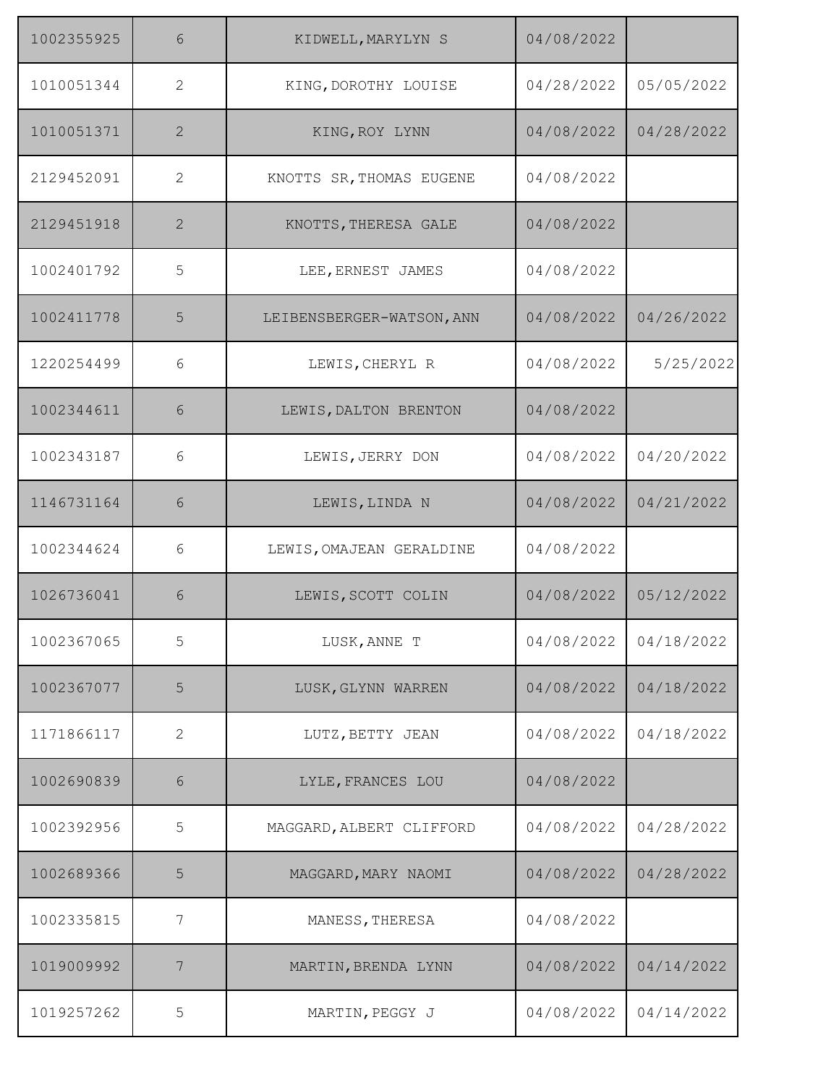| 1002355925 | 6              | KIDWELL, MARYLYN S        | 04/08/2022 |            |
|------------|----------------|---------------------------|------------|------------|
| 1010051344 | $\mathbf{2}$   | KING, DOROTHY LOUISE      | 04/28/2022 | 05/05/2022 |
| 1010051371 | $\overline{2}$ | KING, ROY LYNN            | 04/08/2022 | 04/28/2022 |
| 2129452091 | 2              | KNOTTS SR, THOMAS EUGENE  | 04/08/2022 |            |
| 2129451918 | 2              | KNOTTS, THERESA GALE      | 04/08/2022 |            |
| 1002401792 | 5              | LEE, ERNEST JAMES         | 04/08/2022 |            |
| 1002411778 | 5              | LEIBENSBERGER-WATSON, ANN | 04/08/2022 | 04/26/2022 |
| 1220254499 | 6              | LEWIS, CHERYL R           | 04/08/2022 | 5/25/2022  |
| 1002344611 | 6              | LEWIS, DALTON BRENTON     | 04/08/2022 |            |
| 1002343187 | 6              | LEWIS, JERRY DON          | 04/08/2022 | 04/20/2022 |
| 1146731164 | 6              | LEWIS, LINDA N            | 04/08/2022 | 04/21/2022 |
| 1002344624 | 6              | LEWIS, OMAJEAN GERALDINE  | 04/08/2022 |            |
| 1026736041 | 6              | LEWIS, SCOTT COLIN        | 04/08/2022 | 05/12/2022 |
| 1002367065 | 5              | LUSK, ANNE T              | 04/08/2022 | 04/18/2022 |
| 1002367077 | 5              | LUSK, GLYNN WARREN        | 04/08/2022 | 04/18/2022 |
| 1171866117 | $\mathbf{2}$   | LUTZ, BETTY JEAN          | 04/08/2022 | 04/18/2022 |
| 1002690839 | 6              | LYLE, FRANCES LOU         | 04/08/2022 |            |
| 1002392956 | 5              | MAGGARD, ALBERT CLIFFORD  | 04/08/2022 | 04/28/2022 |
| 1002689366 | 5              | MAGGARD, MARY NAOMI       | 04/08/2022 | 04/28/2022 |
| 1002335815 | 7              | MANESS, THERESA           | 04/08/2022 |            |
| 1019009992 | 7              | MARTIN, BRENDA LYNN       | 04/08/2022 | 04/14/2022 |
| 1019257262 | 5              | MARTIN, PEGGY J           | 04/08/2022 | 04/14/2022 |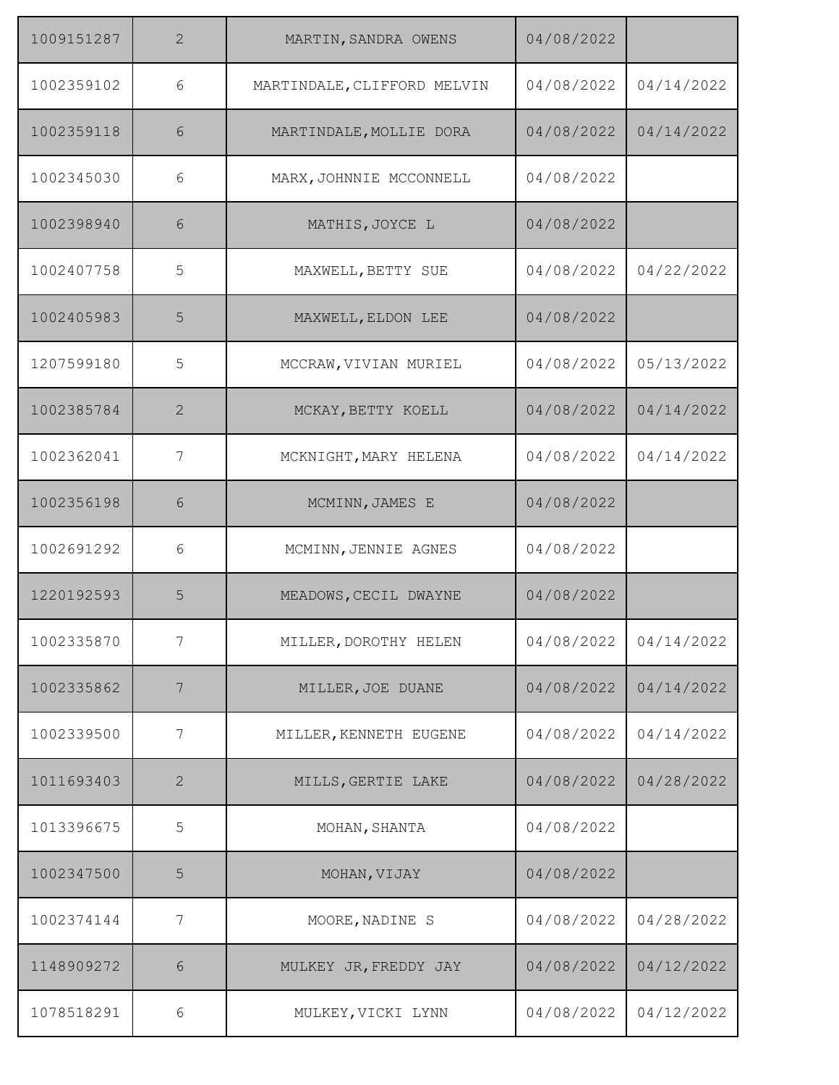| 1009151287 | $\overline{2}$ | MARTIN, SANDRA OWENS        | 04/08/2022 |            |
|------------|----------------|-----------------------------|------------|------------|
| 1002359102 | 6              | MARTINDALE, CLIFFORD MELVIN | 04/08/2022 | 04/14/2022 |
| 1002359118 | 6              | MARTINDALE, MOLLIE DORA     | 04/08/2022 | 04/14/2022 |
| 1002345030 | 6              | MARX, JOHNNIE MCCONNELL     | 04/08/2022 |            |
| 1002398940 | 6              | MATHIS, JOYCE L             | 04/08/2022 |            |
| 1002407758 | 5              | MAXWELL, BETTY SUE          | 04/08/2022 | 04/22/2022 |
| 1002405983 | 5              | MAXWELL, ELDON LEE          | 04/08/2022 |            |
| 1207599180 | 5              | MCCRAW, VIVIAN MURIEL       | 04/08/2022 | 05/13/2022 |
| 1002385784 | $\overline{2}$ | MCKAY, BETTY KOELL          | 04/08/2022 | 04/14/2022 |
| 1002362041 | 7              | MCKNIGHT, MARY HELENA       | 04/08/2022 | 04/14/2022 |
| 1002356198 | 6              | MCMINN, JAMES E             | 04/08/2022 |            |
| 1002691292 | 6              | MCMINN, JENNIE AGNES        | 04/08/2022 |            |
| 1220192593 | 5              | MEADOWS, CECIL DWAYNE       | 04/08/2022 |            |
| 1002335870 | 7              | MILLER, DOROTHY HELEN       | 04/08/2022 | 04/14/2022 |
| 1002335862 | 7              | MILLER, JOE DUANE           | 04/08/2022 | 04/14/2022 |
| 1002339500 | 7              | MILLER, KENNETH EUGENE      | 04/08/2022 | 04/14/2022 |
| 1011693403 | $\mathbf{2}$   | MILLS, GERTIE LAKE          | 04/08/2022 | 04/28/2022 |
| 1013396675 | 5              | MOHAN, SHANTA               | 04/08/2022 |            |
| 1002347500 | 5              | MOHAN, VIJAY                | 04/08/2022 |            |
| 1002374144 | 7              | MOORE, NADINE S             | 04/08/2022 | 04/28/2022 |
| 1148909272 | 6              | MULKEY JR, FREDDY JAY       | 04/08/2022 | 04/12/2022 |
| 1078518291 | 6              | MULKEY, VICKI LYNN          | 04/08/2022 | 04/12/2022 |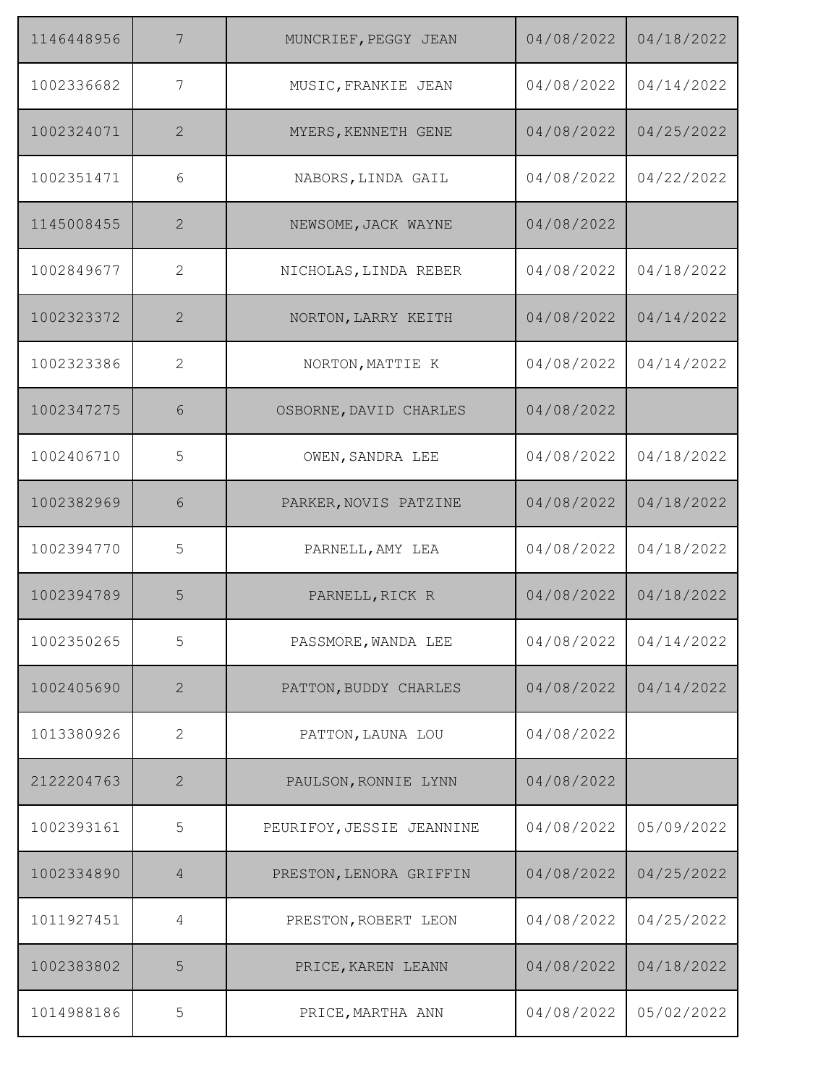| 1146448956 | 7              | MUNCRIEF, PEGGY JEAN      | 04/08/2022 | 04/18/2022 |
|------------|----------------|---------------------------|------------|------------|
| 1002336682 | 7              | MUSIC, FRANKIE JEAN       | 04/08/2022 | 04/14/2022 |
| 1002324071 | 2              | MYERS, KENNETH GENE       | 04/08/2022 | 04/25/2022 |
| 1002351471 | 6              | NABORS, LINDA GAIL        | 04/08/2022 | 04/22/2022 |
| 1145008455 | $\mathbf{2}$   | NEWSOME, JACK WAYNE       | 04/08/2022 |            |
| 1002849677 | 2              | NICHOLAS, LINDA REBER     | 04/08/2022 | 04/18/2022 |
| 1002323372 | $\mathbf{2}$   | NORTON, LARRY KEITH       | 04/08/2022 | 04/14/2022 |
| 1002323386 | 2              | NORTON, MATTIE K          | 04/08/2022 | 04/14/2022 |
| 1002347275 | 6              | OSBORNE, DAVID CHARLES    | 04/08/2022 |            |
| 1002406710 | 5              | OWEN, SANDRA LEE          | 04/08/2022 | 04/18/2022 |
| 1002382969 | 6              | PARKER, NOVIS PATZINE     | 04/08/2022 | 04/18/2022 |
| 1002394770 | 5              | PARNELL, AMY LEA          | 04/08/2022 | 04/18/2022 |
| 1002394789 | 5              | PARNELL, RICK R           | 04/08/2022 | 04/18/2022 |
| 1002350265 | 5              | PASSMORE, WANDA LEE       | 04/08/2022 | 04/14/2022 |
| 1002405690 | $\mathbf{2}$   | PATTON, BUDDY CHARLES     | 04/08/2022 | 04/14/2022 |
| 1013380926 | $\mathbf{2}$   | PATTON, LAUNA LOU         | 04/08/2022 |            |
| 2122204763 | $\mathbf{2}$   | PAULSON, RONNIE LYNN      | 04/08/2022 |            |
| 1002393161 | 5              | PEURIFOY, JESSIE JEANNINE | 04/08/2022 | 05/09/2022 |
| 1002334890 | $\overline{4}$ | PRESTON, LENORA GRIFFIN   | 04/08/2022 | 04/25/2022 |
| 1011927451 | 4              | PRESTON, ROBERT LEON      | 04/08/2022 | 04/25/2022 |
| 1002383802 | 5              | PRICE, KAREN LEANN        | 04/08/2022 | 04/18/2022 |
| 1014988186 | 5              | PRICE, MARTHA ANN         | 04/08/2022 | 05/02/2022 |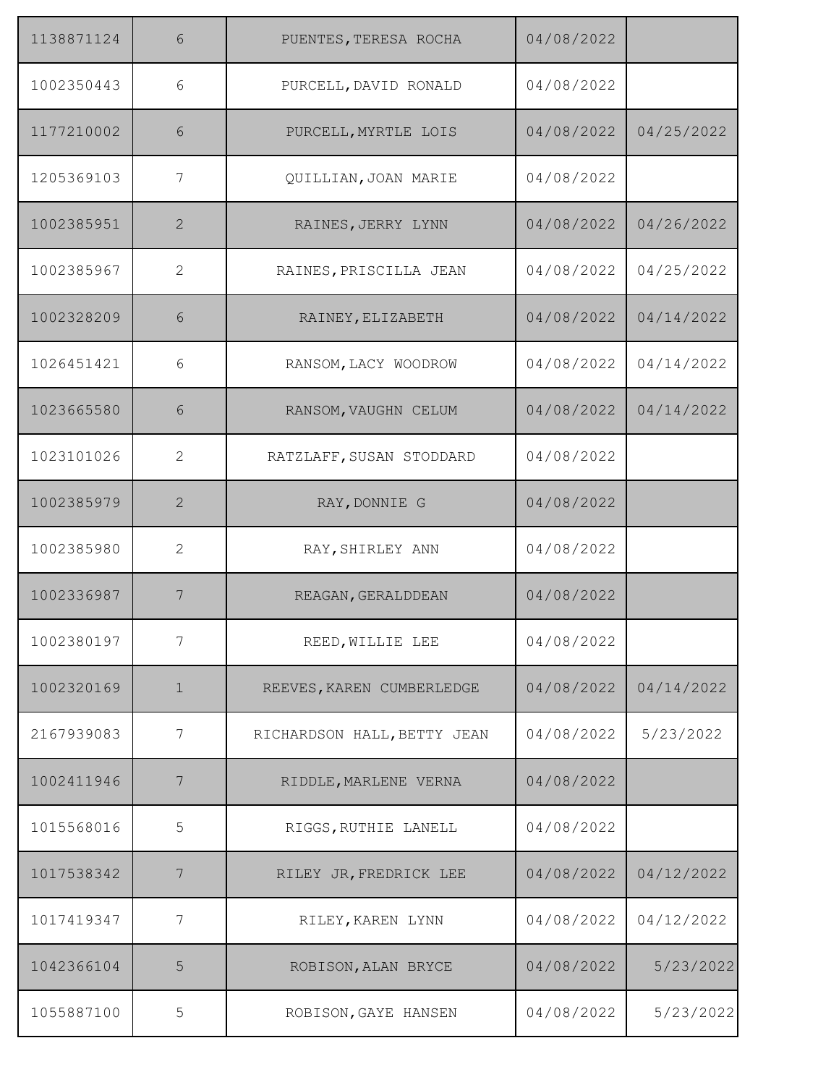| 1138871124 | 6              | PUENTES, TERESA ROCHA       | 04/08/2022 |            |
|------------|----------------|-----------------------------|------------|------------|
| 1002350443 | 6              | PURCELL, DAVID RONALD       | 04/08/2022 |            |
| 1177210002 | 6              | PURCELL, MYRTLE LOIS        | 04/08/2022 | 04/25/2022 |
| 1205369103 | 7              | QUILLIAN, JOAN MARIE        | 04/08/2022 |            |
| 1002385951 | $\mathbf{2}$   | RAINES, JERRY LYNN          | 04/08/2022 | 04/26/2022 |
| 1002385967 | $\mathbf{2}$   | RAINES, PRISCILLA JEAN      | 04/08/2022 | 04/25/2022 |
| 1002328209 | 6              | RAINEY, ELIZABETH           | 04/08/2022 | 04/14/2022 |
| 1026451421 | 6              | RANSOM, LACY WOODROW        | 04/08/2022 | 04/14/2022 |
| 1023665580 | 6              | RANSOM, VAUGHN CELUM        | 04/08/2022 | 04/14/2022 |
| 1023101026 | 2              | RATZLAFF, SUSAN STODDARD    | 04/08/2022 |            |
| 1002385979 | 2              | RAY, DONNIE G               | 04/08/2022 |            |
| 1002385980 | $\overline{2}$ | RAY, SHIRLEY ANN            | 04/08/2022 |            |
| 1002336987 | 7              | REAGAN, GERALDDEAN          | 04/08/2022 |            |
| 1002380197 | 7              | REED, WILLIE LEE            | 04/08/2022 |            |
| 1002320169 | $\mathbf 1$    | REEVES, KAREN CUMBERLEDGE   | 04/08/2022 | 04/14/2022 |
| 2167939083 | 7              | RICHARDSON HALL, BETTY JEAN | 04/08/2022 | 5/23/2022  |
| 1002411946 | 7              | RIDDLE, MARLENE VERNA       | 04/08/2022 |            |
| 1015568016 | 5              | RIGGS, RUTHIE LANELL        | 04/08/2022 |            |
| 1017538342 | 7              | RILEY JR, FREDRICK LEE      | 04/08/2022 | 04/12/2022 |
| 1017419347 | 7              | RILEY, KAREN LYNN           | 04/08/2022 | 04/12/2022 |
| 1042366104 | 5              | ROBISON, ALAN BRYCE         | 04/08/2022 | 5/23/2022  |
| 1055887100 | 5              | ROBISON, GAYE HANSEN        | 04/08/2022 | 5/23/2022  |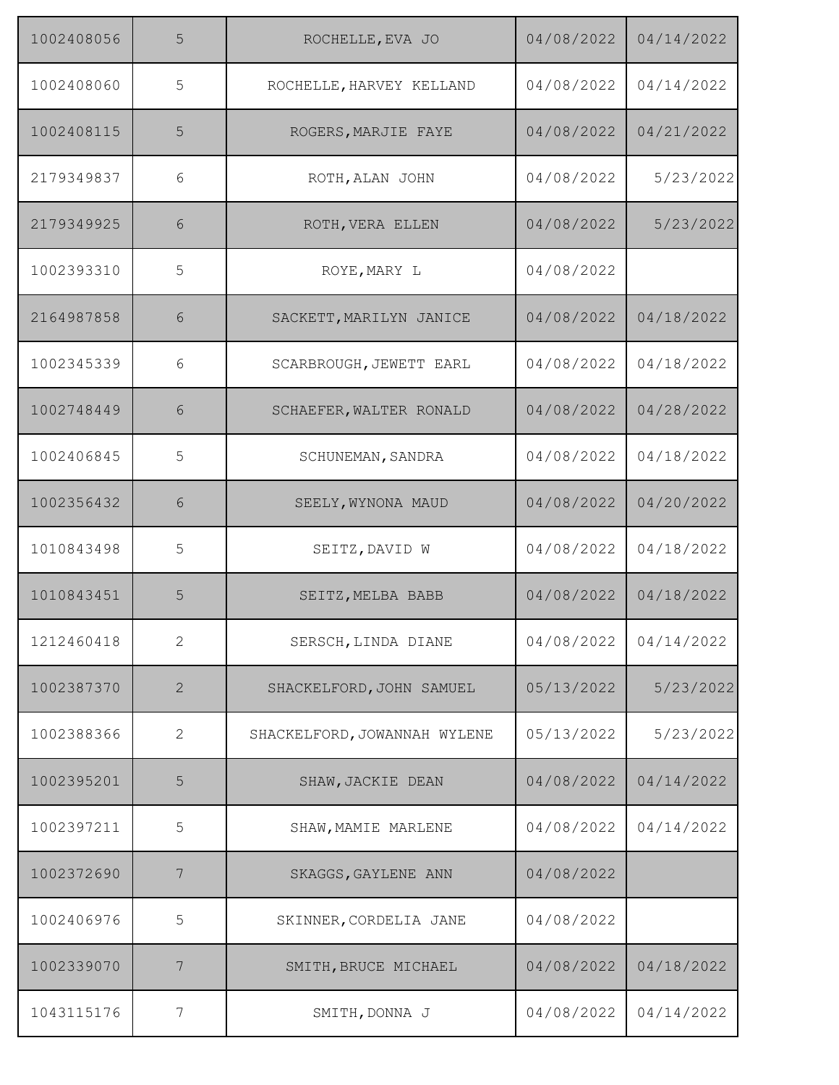| 1002408056 | 5            | ROCHELLE, EVA JO             | 04/08/2022 | 04/14/2022 |
|------------|--------------|------------------------------|------------|------------|
| 1002408060 | 5            | ROCHELLE, HARVEY KELLAND     | 04/08/2022 | 04/14/2022 |
| 1002408115 | 5            | ROGERS, MARJIE FAYE          | 04/08/2022 | 04/21/2022 |
| 2179349837 | 6            | ROTH, ALAN JOHN              | 04/08/2022 | 5/23/2022  |
| 2179349925 | 6            | ROTH, VERA ELLEN             | 04/08/2022 | 5/23/2022  |
| 1002393310 | 5            | ROYE, MARY L                 | 04/08/2022 |            |
| 2164987858 | 6            | SACKETT, MARILYN JANICE      | 04/08/2022 | 04/18/2022 |
| 1002345339 | 6            | SCARBROUGH, JEWETT EARL      | 04/08/2022 | 04/18/2022 |
| 1002748449 | 6            | SCHAEFER, WALTER RONALD      | 04/08/2022 | 04/28/2022 |
| 1002406845 | 5            | SCHUNEMAN, SANDRA            | 04/08/2022 | 04/18/2022 |
| 1002356432 | 6            | SEELY, WYNONA MAUD           | 04/08/2022 | 04/20/2022 |
| 1010843498 | 5            | SEITZ, DAVID W               | 04/08/2022 | 04/18/2022 |
| 1010843451 | 5            | SEITZ, MELBA BABB            | 04/08/2022 | 04/18/2022 |
| 1212460418 | $\mathbf{2}$ | SERSCH, LINDA DIANE          | 04/08/2022 | 04/14/2022 |
| 1002387370 | $\mathbf{2}$ | SHACKELFORD, JOHN SAMUEL     | 05/13/2022 | 5/23/2022  |
| 1002388366 | $\mathbf{2}$ | SHACKELFORD, JOWANNAH WYLENE | 05/13/2022 | 5/23/2022  |
| 1002395201 | 5            | SHAW, JACKIE DEAN            | 04/08/2022 | 04/14/2022 |
| 1002397211 | 5            | SHAW, MAMIE MARLENE          | 04/08/2022 | 04/14/2022 |
| 1002372690 | 7            | SKAGGS, GAYLENE ANN          | 04/08/2022 |            |
| 1002406976 | 5            | SKINNER, CORDELIA JANE       | 04/08/2022 |            |
| 1002339070 | 7            | SMITH, BRUCE MICHAEL         | 04/08/2022 | 04/18/2022 |
| 1043115176 | 7            | SMITH, DONNA J               | 04/08/2022 | 04/14/2022 |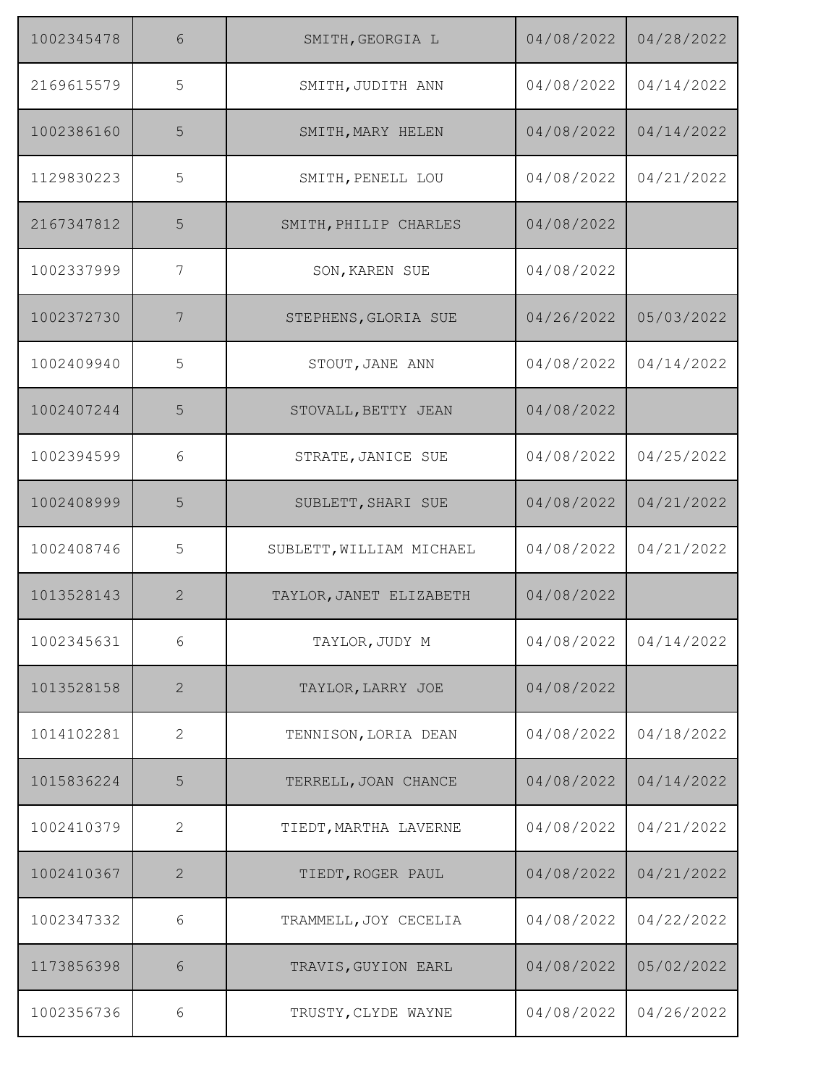| 1002345478 | 6              | SMITH, GEORGIA L         | 04/08/2022 | 04/28/2022 |
|------------|----------------|--------------------------|------------|------------|
| 2169615579 | 5              | SMITH, JUDITH ANN        | 04/08/2022 | 04/14/2022 |
| 1002386160 | 5              | SMITH, MARY HELEN        | 04/08/2022 | 04/14/2022 |
| 1129830223 | 5              | SMITH, PENELL LOU        | 04/08/2022 | 04/21/2022 |
| 2167347812 | 5              | SMITH, PHILIP CHARLES    | 04/08/2022 |            |
| 1002337999 | 7              | SON, KAREN SUE           | 04/08/2022 |            |
| 1002372730 | 7              | STEPHENS, GLORIA SUE     | 04/26/2022 | 05/03/2022 |
| 1002409940 | 5              | STOUT, JANE ANN          | 04/08/2022 | 04/14/2022 |
| 1002407244 | 5              | STOVALL, BETTY JEAN      | 04/08/2022 |            |
| 1002394599 | 6              | STRATE, JANICE SUE       | 04/08/2022 | 04/25/2022 |
| 1002408999 | 5              | SUBLETT, SHARI SUE       | 04/08/2022 | 04/21/2022 |
| 1002408746 | 5              | SUBLETT, WILLIAM MICHAEL | 04/08/2022 | 04/21/2022 |
| 1013528143 | $\overline{2}$ | TAYLOR, JANET ELIZABETH  | 04/08/2022 |            |
| 1002345631 | 6              | TAYLOR, JUDY M           | 04/08/2022 | 04/14/2022 |
| 1013528158 | $\mathbf{2}$   | TAYLOR, LARRY JOE        | 04/08/2022 |            |
| 1014102281 | $\mathbf{2}$   | TENNISON, LORIA DEAN     | 04/08/2022 | 04/18/2022 |
| 1015836224 | 5              | TERRELL, JOAN CHANCE     | 04/08/2022 | 04/14/2022 |
| 1002410379 | 2              | TIEDT, MARTHA LAVERNE    | 04/08/2022 | 04/21/2022 |
| 1002410367 | $\overline{2}$ | TIEDT, ROGER PAUL        | 04/08/2022 | 04/21/2022 |
| 1002347332 | 6              | TRAMMELL, JOY CECELIA    | 04/08/2022 | 04/22/2022 |
| 1173856398 | 6              | TRAVIS, GUYION EARL      | 04/08/2022 | 05/02/2022 |
| 1002356736 | 6              | TRUSTY, CLYDE WAYNE      | 04/08/2022 | 04/26/2022 |